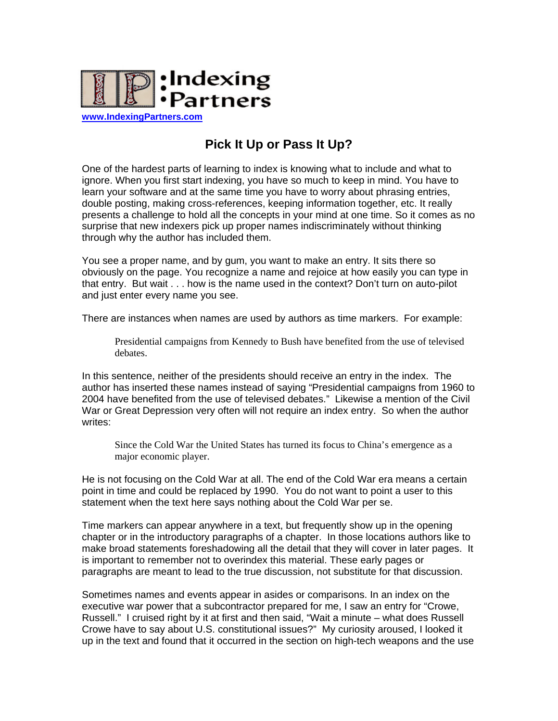

**[www.IndexingPartners.com](http://www.indexingpartners.com/)**

## **Pick It Up or Pass It Up?**

One of the hardest parts of learning to index is knowing what to include and what to ignore. When you first start indexing, you have so much to keep in mind. You have to learn your software and at the same time you have to worry about phrasing entries, double posting, making cross-references, keeping information together, etc. It really presents a challenge to hold all the concepts in your mind at one time. So it comes as no surprise that new indexers pick up proper names indiscriminately without thinking through why the author has included them.

You see a proper name, and by gum, you want to make an entry. It sits there so obviously on the page. You recognize a name and rejoice at how easily you can type in that entry. But wait . . . how is the name used in the context? Don't turn on auto-pilot and just enter every name you see.

There are instances when names are used by authors as time markers. For example:

Presidential campaigns from Kennedy to Bush have benefited from the use of televised debates.

In this sentence, neither of the presidents should receive an entry in the index. The author has inserted these names instead of saying "Presidential campaigns from 1960 to 2004 have benefited from the use of televised debates." Likewise a mention of the Civil War or Great Depression very often will not require an index entry. So when the author writes:

Since the Cold War the United States has turned its focus to China's emergence as a major economic player.

He is not focusing on the Cold War at all. The end of the Cold War era means a certain point in time and could be replaced by 1990. You do not want to point a user to this statement when the text here says nothing about the Cold War per se.

Time markers can appear anywhere in a text, but frequently show up in the opening chapter or in the introductory paragraphs of a chapter. In those locations authors like to make broad statements foreshadowing all the detail that they will cover in later pages. It is important to remember not to overindex this material. These early pages or paragraphs are meant to lead to the true discussion, not substitute for that discussion.

Sometimes names and events appear in asides or comparisons. In an index on the executive war power that a subcontractor prepared for me, I saw an entry for "Crowe, Russell." I cruised right by it at first and then said, "Wait a minute – what does Russell Crowe have to say about U.S. constitutional issues?" My curiosity aroused, I looked it up in the text and found that it occurred in the section on high-tech weapons and the use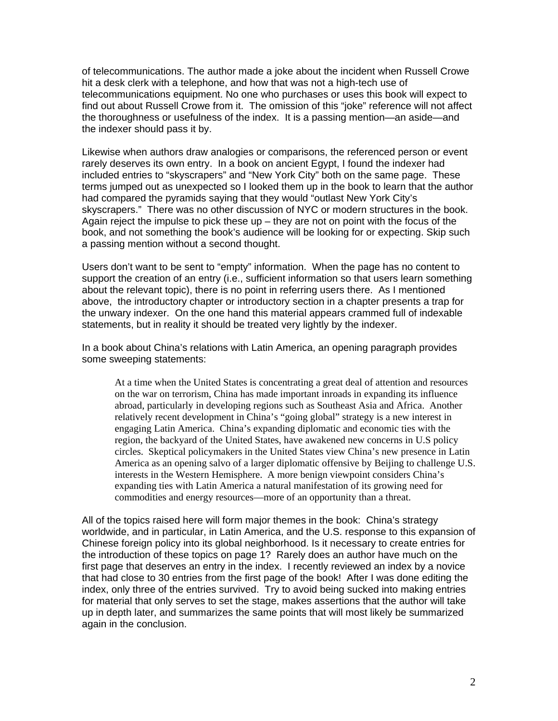of telecommunications. The author made a joke about the incident when Russell Crowe hit a desk clerk with a telephone, and how that was not a high-tech use of telecommunications equipment. No one who purchases or uses this book will expect to find out about Russell Crowe from it. The omission of this "joke" reference will not affect the thoroughness or usefulness of the index. It is a passing mention—an aside—and the indexer should pass it by.

Likewise when authors draw analogies or comparisons, the referenced person or event rarely deserves its own entry. In a book on ancient Egypt, I found the indexer had included entries to "skyscrapers" and "New York City" both on the same page. These terms jumped out as unexpected so I looked them up in the book to learn that the author had compared the pyramids saying that they would "outlast New York City's skyscrapers." There was no other discussion of NYC or modern structures in the book. Again reject the impulse to pick these up  $-$  they are not on point with the focus of the book, and not something the book's audience will be looking for or expecting. Skip such a passing mention without a second thought.

Users don't want to be sent to "empty" information. When the page has no content to support the creation of an entry (i.e., sufficient information so that users learn something about the relevant topic), there is no point in referring users there. As I mentioned above, the introductory chapter or introductory section in a chapter presents a trap for the unwary indexer. On the one hand this material appears crammed full of indexable statements, but in reality it should be treated very lightly by the indexer.

In a book about China's relations with Latin America, an opening paragraph provides some sweeping statements:

At a time when the United States is concentrating a great deal of attention and resources on the war on terrorism, China has made important inroads in expanding its influence abroad, particularly in developing regions such as Southeast Asia and Africa. Another relatively recent development in China's "going global" strategy is a new interest in engaging Latin America. China's expanding diplomatic and economic ties with the region, the backyard of the United States, have awakened new concerns in U.S policy circles. Skeptical policymakers in the United States view China's new presence in Latin America as an opening salvo of a larger diplomatic offensive by Beijing to challenge U.S. interests in the Western Hemisphere. A more benign viewpoint considers China's expanding ties with Latin America a natural manifestation of its growing need for commodities and energy resources—more of an opportunity than a threat.

All of the topics raised here will form major themes in the book: China's strategy worldwide, and in particular, in Latin America, and the U.S. response to this expansion of Chinese foreign policy into its global neighborhood. Is it necessary to create entries for the introduction of these topics on page 1? Rarely does an author have much on the first page that deserves an entry in the index. I recently reviewed an index by a novice that had close to 30 entries from the first page of the book! After I was done editing the index, only three of the entries survived. Try to avoid being sucked into making entries for material that only serves to set the stage, makes assertions that the author will take up in depth later, and summarizes the same points that will most likely be summarized again in the conclusion.